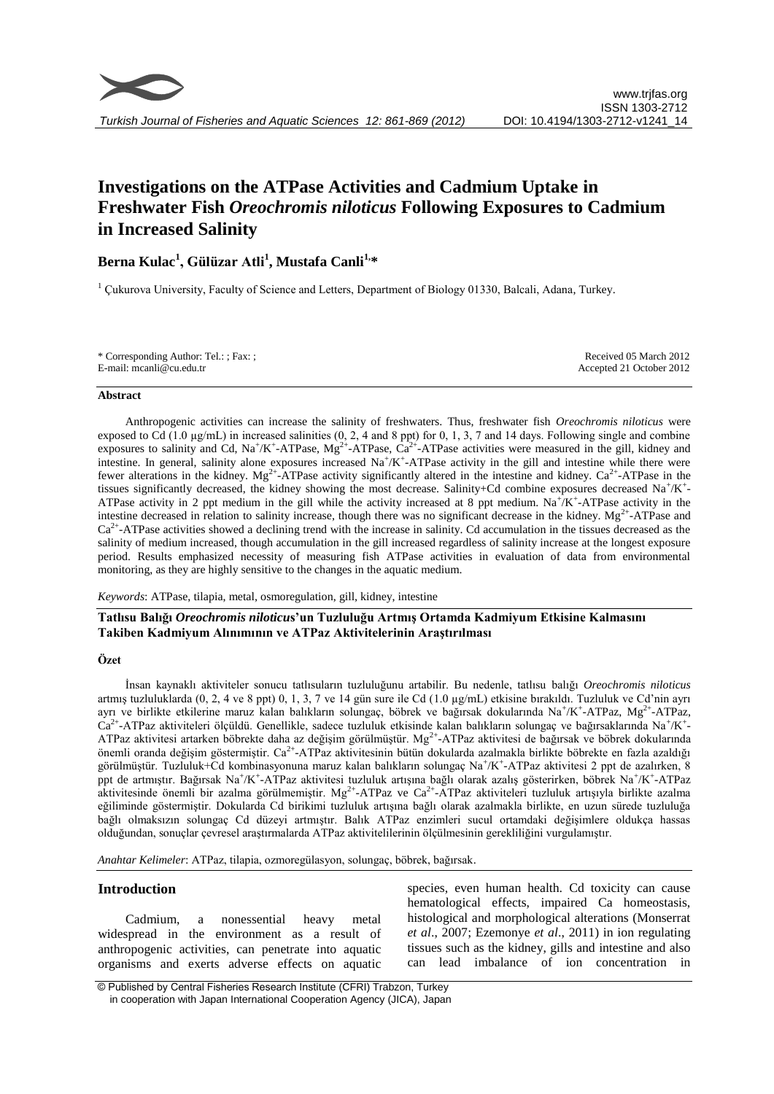

# **Investigations on the ATPase Activities and Cadmium Uptake in Freshwater Fish** *Oreochromis niloticus* **Following Exposures to Cadmium in Increased Salinity**

# **Berna Kulac<sup>1</sup> , Gülüzar Atli<sup>1</sup> , Mustafa Canli1,\***

<sup>1</sup> Cukurova University, Faculty of Science and Letters, Department of Biology 01330, Balcali, Adana, Turkey.

| * Corresponding Author: Tel.: ; Fax: ; | Received 05 March 2012   |
|----------------------------------------|--------------------------|
| E-mail: mcanli@cu.edu.tr               | Accepted 21 October 2012 |

#### **Abstract**

Anthropogenic activities can increase the salinity of freshwaters. Thus, freshwater fish *Oreochromis niloticus* were exposed to  $\text{Cd}$  (1.0  $\mu$ g/mL) in increased salinities (0, 2, 4 and 8 ppt) for 0, 1, 3, 7 and 14 days. Following single and combine exposures to salinity and Cd,  $Na^+/K^+ATPase$ ,  $Mg^{2+}ATPase$ ,  $Ca^{2+}ATPase$  activities were measured in the gill, kidney and intestine. In general, salinity alone exposures increased  $Na<sup>+</sup>/K<sup>+</sup>-ATP$ ase activity in the gill and intestine while there were fewer alterations in the kidney.  $Mg^{2+}$ -ATPase activity significantly altered in the intestine and kidney.  $Ca^{2+}$ -ATPase in the tissues significantly decreased, the kidney showing the most decrease. Salinity+Cd combine exposures decreased  $Na^+/K^+$ ATPase activity in 2 ppt medium in the gill while the activity increased at 8 ppt medium.  $Na^+/K^+$ -ATPase activity in the intestine decreased in relation to salinity increase, though there was no significant decrease in the kidney.  $Mg^{2+}$ -ATPase and  $Ca<sup>2+</sup>$ -ATPase activities showed a declining trend with the increase in salinity. Cd accumulation in the tissues decreased as the salinity of medium increased, though accumulation in the gill increased regardless of salinity increase at the longest exposure period. Results emphasized necessity of measuring fish ATPase activities in evaluation of data from environmental monitoring, as they are highly sensitive to the changes in the aquatic medium.

#### *Keywords*: ATPase, tilapia, metal, osmoregulation, gill, kidney, intestine

# **Tatlısu Balığı** *Oreochromis niloticu***s'un Tuzluluğu Artmış Ortamda Kadmiyum Etkisine Kalmasını Takiben Kadmiyum Alınımının ve ATPaz Aktivitelerinin Araştırılması**

# **Özet**

İnsan kaynaklı aktiviteler sonucu tatlısuların tuzluluğunu artabilir. Bu nedenle, tatlısu balığı *Oreochromis niloticus* artmış tuzluluklarda (0, 2, 4 ve 8 ppt) 0, 1, 3, 7 ve 14 gün sure ile Cd (1.0 µg/mL) etkisine bırakıldı. Tuzluluk ve Cd'nin ayrı ayrı ve birlikte etkilerine maruz kalan balıkların solungaç, böbrek ve bağırsak dokularında Na<sup>+</sup>/K<sup>+</sup>-ATPaz, Mg<sup>2+</sup>-ATPaz,  $Ca^{2+}$ -ATPaz aktiviteleri ölçüldü. Genellikle, sadece tuzluluk etkisinde kalan balıkların solungaç ve bağırsaklarında Na<sup>+</sup>/K<sup>+</sup>-ATPaz aktivitesi artarken böbrekte daha az değişim görülmüştür. Mg<sup>2+</sup>-ATPaz aktivitesi de bağırsak ve böbrek dokularında önemli oranda değişim göstermiştir. Ca<sup>2+</sup>-ATPaz aktivitesinin bütün dokularda azalmakla birlikte böbrekte en fazla azaldığı görülmüştür. Tuzluluk+Cd kombinasyonuna maruz kalan balıkların solungaç Na<sup>+</sup> /K<sup>+</sup> -ATPaz aktivitesi 2 ppt de azalırken, 8 ppt de artmıştır. Bağırsak Na<sup>+</sup>/K<sup>+</sup>-ATPaz aktivitesi tuzluluk artışına bağlı olarak azalış gösterirken, böbrek Na<sup>+</sup>/K<sup>+</sup>-ATPaz aktivitesinde önemli bir azalma görülmemiştir. Mg<sup>2+</sup>-ATPaz ve Ca<sup>2+</sup>-ATPaz aktiviteleri tuzluluk artışıyla birlikte azalma eğiliminde göstermiştir. Dokularda Cd birikimi tuzluluk artışına bağlı olarak azalmakla birlikte, en uzun sürede tuzluluğa bağlı olmaksızın solungaç Cd düzeyi artmıştır. Balık ATPaz enzimleri sucul ortamdaki değişimlere oldukça hassas olduğundan, sonuçlar çevresel araştırmalarda ATPaz aktivitelilerinin ölçülmesinin gerekliliğini vurgulamıştır.

*Anahtar Kelimeler*: ATPaz, tilapia, ozmoregülasyon, solungaç, böbrek, bağırsak.

# **Introduction**

Cadmium, a nonessential heavy metal widespread in the environment as a result of anthropogenic activities, can penetrate into aquatic organisms and exerts adverse effects on aquatic

species, even human health. Cd toxicity can cause hematological effects, impaired Ca homeostasis, histological and morphological alterations (Monserrat *et al*., 2007; Ezemonye *et al*., 2011) in ion regulating tissues such as the kidney, gills and intestine and also can lead imbalance of ion concentration in

<sup>©</sup> Published by Central Fisheries Research Institute (CFRI) Trabzon, Turkey in cooperation with Japan International Cooperation Agency (JICA), Japan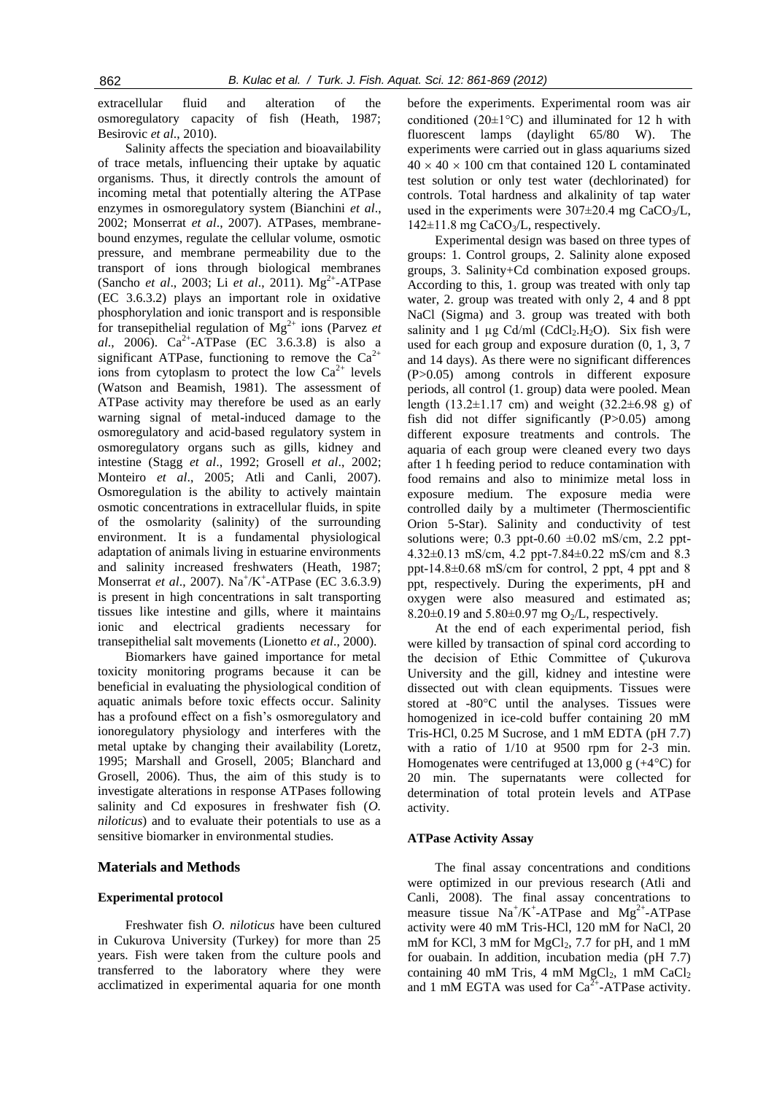extracellular fluid and alteration of the osmoregulatory capacity of fish (Heath, 1987; Besirovic *et al*., 2010).

Salinity affects the speciation and bioavailability of trace metals, influencing their uptake by aquatic organisms. Thus, it directly controls the amount of incoming metal that potentially altering the ATPase enzymes in osmoregulatory system (Bianchini *et al*., 2002; Monserrat *et al*., 2007). ATPases, membranebound enzymes, regulate the cellular volume, osmotic pressure, and membrane permeability due to the transport of ions through biological membranes (Sancho et al., 2003; Li et al., 2011). Mg<sup>2+</sup>-ATPase (EC 3.6.3.2) plays an important role in oxidative phosphorylation and ionic transport and is responsible for transepithelial regulation of Mg2+ ions (Parvez *et al.*, 2006).  $Ca^{2+}-ATPase$  (EC 3.6.3.8) is also a significant ATPase, functioning to remove the  $Ca^{2+}$ ions from cytoplasm to protect the low  $Ca^{2+}$  levels (Watson and Beamish, 1981). The assessment of ATPase activity may therefore be used as an early warning signal of metal-induced damage to the osmoregulatory and acid-based regulatory system in osmoregulatory organs such as gills, kidney and intestine (Stagg *et al*., 1992; Grosell *et al*., 2002; Monteiro *et al*., 2005; Atli and Canli, 2007). Osmoregulation is the ability to actively maintain osmotic concentrations in extracellular fluids, in spite of the osmolarity (salinity) of the surrounding environment. It is a fundamental physiological adaptation of animals living in estuarine environments and salinity increased freshwaters (Heath, 1987; Monserrat *et al.*, 2007). Na<sup>+</sup>/K<sup>+</sup>-ATPase (EC 3.6.3.9) is present in high concentrations in salt transporting tissues like intestine and gills, where it maintains ionic and electrical gradients necessary for transepithelial salt movements (Lionetto *et al*., 2000).

Biomarkers have gained importance for metal toxicity monitoring programs because it can be beneficial in evaluating the physiological condition of aquatic animals before toxic effects occur. Salinity has a profound effect on a fish's osmoregulatory and ionoregulatory physiology and interferes with the metal uptake by changing their availability (Loretz, 1995; Marshall and Grosell, 2005; Blanchard and Grosell, 2006). Thus, the aim of this study is to investigate alterations in response ATPases following salinity and Cd exposures in freshwater fish (*O. niloticus*) and to evaluate their potentials to use as a sensitive biomarker in environmental studies.

#### **Materials and Methods**

#### **Experimental protocol**

Freshwater fish *O. niloticus* have been cultured in Cukurova University (Turkey) for more than 25 years. Fish were taken from the culture pools and transferred to the laboratory where they were acclimatized in experimental aquaria for one month

before the experiments. Experimental room was air conditioned (20 $\pm$ 1°C) and illuminated for 12 h with fluorescent lamps (daylight 65/80 W). The experiments were carried out in glass aquariums sized  $40 \times 40 \times 100$  cm that contained 120 L contaminated test solution or only test water (dechlorinated) for controls. Total hardness and alkalinity of tap water used in the experiments were  $307\pm20.4$  mg CaCO<sub>3</sub>/L,  $142\pm11.8$  mg CaCO<sub>3</sub>/L, respectively.

Experimental design was based on three types of groups: 1. Control groups, 2. Salinity alone exposed groups, 3. Salinity+Cd combination exposed groups. According to this, 1. group was treated with only tap water, 2. group was treated with only 2, 4 and 8 ppt NaCl (Sigma) and 3. group was treated with both salinity and 1  $\mu$ g Cd/ml (CdCl<sub>2</sub>.H<sub>2</sub>O). Six fish were used for each group and exposure duration (0, 1, 3, 7 and 14 days). As there were no significant differences (P>0.05) among controls in different exposure periods, all control (1. group) data were pooled. Mean length (13.2 $\pm$ 1.17 cm) and weight (32.2 $\pm$ 6.98 g) of fish did not differ significantly (P>0.05) among different exposure treatments and controls. The aquaria of each group were cleaned every two days after 1 h feeding period to reduce contamination with food remains and also to minimize metal loss in exposure medium. The exposure media were controlled daily by a multimeter (Thermoscientific Orion 5-Star). Salinity and conductivity of test solutions were; 0.3 ppt-0.60  $\pm$ 0.02 mS/cm, 2.2 ppt-4.32±0.13 mS/cm, 4.2 ppt-7.84±0.22 mS/cm and 8.3 ppt-14.8±0.68 mS/cm for control, 2 ppt, 4 ppt and 8 ppt, respectively. During the experiments, pH and oxygen were also measured and estimated as; 8.20 $\pm$ 0.19 and 5.80 $\pm$ 0.97 mg O<sub>2</sub>/L, respectively.

At the end of each experimental period, fish were killed by transaction of spinal cord according to the decision of Ethic Committee of Çukurova University and the gill, kidney and intestine were dissected out with clean equipments. Tissues were stored at -80°C until the analyses. Tissues were homogenized in ice-cold buffer containing 20 mM Tris-HCl, 0.25 M Sucrose, and 1 mM EDTA (pH 7.7) with a ratio of 1/10 at 9500 rpm for 2-3 min. Homogenates were centrifuged at 13,000 g  $(+4^{\circ}C)$  for 20 min. The supernatants were collected for determination of total protein levels and ATPase activity.

#### **ATPase Activity Assay**

The final assay concentrations and conditions were optimized in our previous research (Atli and Canli, 2008). The final assay concentrations to measure tissue  $Na^+/K^+$ -ATPase and  $Mg^{2+}$ -ATPase activity were 40 mM Tris-HCl, 120 mM for NaCl, 20 mM for KCl, 3 mM for  $MgCl<sub>2</sub>$ , 7.7 for pH, and 1 mM for ouabain. In addition, incubation media (pH 7.7) containing 40 mM Tris, 4 mM  $MgCl<sub>2</sub>$ , 1 mM  $CaCl<sub>2</sub>$ and 1 mM EGTA was used for  $Ca^{2+}$ -ATPase activity.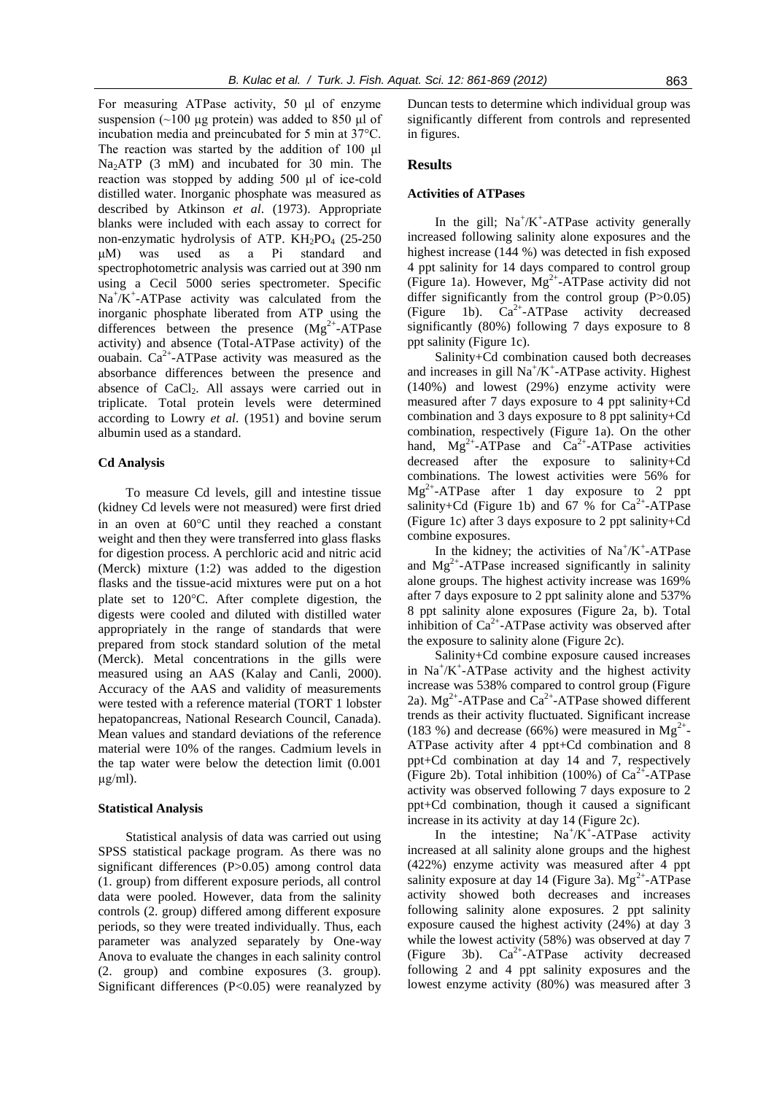For measuring ATPase activity, 50 μl of enzyme suspension ( $\sim$ 100 μg protein) was added to 850 μl of incubation media and preincubated for 5 min at 37°C. The reaction was started by the addition of 100 μl Na<sub>2</sub>ATP (3 mM) and incubated for 30 min. The reaction was stopped by adding 500 μl of ice-cold distilled water. Inorganic phosphate was measured as described by Atkinson *et al*. (1973). Appropriate blanks were included with each assay to correct for non-enzymatic hydrolysis of ATP.  $KH_2PO_4$  (25-250) μM) was used as a Pi standard and spectrophotometric analysis was carried out at 390 nm using a Cecil 5000 series spectrometer. Specific  $Na<sup>+</sup>/K<sup>+</sup>-ATPase$  activity was calculated from the inorganic phosphate liberated from ATP using the differences between the presence  $(Mg^{2+}-ATP)$ ase activity) and absence (Total-ATPase activity) of the ouabain.  $Ca^{2+}$ -ATPase activity was measured as the absorbance differences between the presence and absence of  $CaCl<sub>2</sub>$ . All assays were carried out in triplicate. Total protein levels were determined according to Lowry *et al*. (1951) and bovine serum albumin used as a standard.

### **Cd Analysis**

To measure Cd levels, gill and intestine tissue (kidney Cd levels were not measured) were first dried in an oven at  $60^{\circ}$ C until they reached a constant weight and then they were transferred into glass flasks for digestion process. A perchloric acid and nitric acid (Merck) mixture (1:2) was added to the digestion flasks and the tissue-acid mixtures were put on a hot plate set to 120°C. After complete digestion, the digests were cooled and diluted with distilled water appropriately in the range of standards that were prepared from stock standard solution of the metal (Merck). Metal concentrations in the gills were measured using an AAS (Kalay and Canli, 2000). Accuracy of the AAS and validity of measurements were tested with a reference material (TORT 1 lobster hepatopancreas, National Research Council, Canada). Mean values and standard deviations of the reference material were 10% of the ranges. Cadmium levels in the tap water were below the detection limit (0.001  $\mu$ g/ml).

#### **Statistical Analysis**

Statistical analysis of data was carried out using SPSS statistical package program. As there was no significant differences (P>0.05) among control data (1. group) from different exposure periods, all control data were pooled. However, data from the salinity controls (2. group) differed among different exposure periods, so they were treated individually. Thus, each parameter was analyzed separately by One-way Anova to evaluate the changes in each salinity control (2. group) and combine exposures (3. group). Significant differences (P<0.05) were reanalyzed by Duncan tests to determine which individual group was significantly different from controls and represented in figures.

# **Results**

#### **Activities of ATPases**

In the gill;  $Na^+/K^+$ -ATPase activity generally increased following salinity alone exposures and the highest increase (144 %) was detected in fish exposed 4 ppt salinity for 14 days compared to control group (Figure 1a). However,  $Mg^{2+}$ -ATPase activity did not differ significantly from the control group  $(P>0.05)$ (Figure 1b).  $Ca^{2+}-ATP$ ase activity decreased significantly (80%) following 7 days exposure to 8 ppt salinity (Figure 1c).

Salinity+Cd combination caused both decreases and increases in gill  $Na^+/K^+$ -ATPase activity. Highest (140%) and lowest (29%) enzyme activity were measured after 7 days exposure to 4 ppt salinity+Cd combination and 3 days exposure to 8 ppt salinity+Cd combination, respectively (Figure 1a). On the other hand,  $Mg^{2+}$ -ATPase and Ca<sup>2+</sup>-ATPase activities decreased after the exposure to salinity+Cd combinations. The lowest activities were 56% for  $Mg^{2+}$ -ATPase after 1 day exposure to 2 ppt salinity+Cd (Figure 1b) and 67 % for  $Ca^{2+}-ATP$ ase (Figure 1c) after 3 days exposure to 2 ppt salinity+Cd combine exposures.

In the kidney; the activities of  $Na^+/K^+$ -ATPase and  $Mg^{2+}$ -ATPase increased significantly in salinity alone groups. The highest activity increase was 169% after 7 days exposure to 2 ppt salinity alone and 537% 8 ppt salinity alone exposures (Figure 2a, b). Total inhibition of  $Ca^{2+}$ -ATPase activity was observed after the exposure to salinity alone (Figure 2c).

Salinity+Cd combine exposure caused increases in  $Na^+/K^+$ -ATPase activity and the highest activity increase was 538% compared to control group (Figure 2a).  $Mg^{2+}$ -ATPase and  $Ca^{2+}$ -ATPase showed different trends as their activity fluctuated. Significant increase (183 %) and decrease (66%) were measured in  $Mg^{2+}$ . ATPase activity after 4 ppt+Cd combination and 8 ppt+Cd combination at day 14 and 7, respectively (Figure 2b). Total inhibition (100%) of  $Ca^{2+}-ATP$ ase activity was observed following 7 days exposure to 2 ppt+Cd combination, though it caused a significant increase in its activity at day 14 (Figure 2c).

In the intestine;  $Na^+/K^+$ -ATPase activity increased at all salinity alone groups and the highest (422%) enzyme activity was measured after 4 ppt salinity exposure at day 14 (Figure 3a).  $Mg^{2+}$ -ATPase activity showed both decreases and increases following salinity alone exposures. 2 ppt salinity exposure caused the highest activity (24%) at day 3 while the lowest activity (58%) was observed at day 7 (Figure 3b).  $Ca^{2+}-ATP$ ase activity decreased following 2 and 4 ppt salinity exposures and the lowest enzyme activity (80%) was measured after 3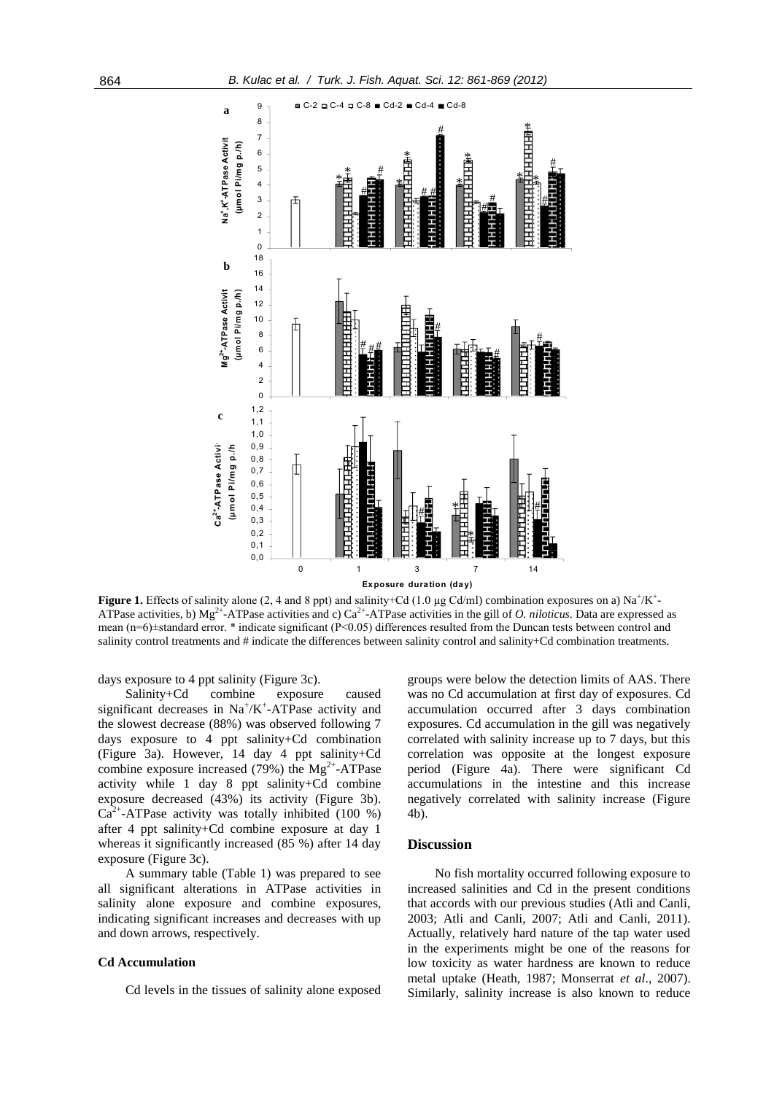

**Figure 1.** Effects of salinity alone (2, 4 and 8 ppt) and salinity+Cd (1.0  $\mu$ g Cd/ml) combination exposures on a) Na<sup>+</sup>/K<sup>+</sup>-ATPase activities, b)  $Mg^{2^+}$ -ATPase activities and c)  $Ca^{2^+}$ -ATPase activities in the gill of *O. niloticus*. Data are expressed as mean (n=6)±standard error. \* indicate significant (P<0.05) differences resulted from the Duncan tests between control and salinity control treatments and # indicate the differences between salinity control and salinity+Cd combination treatments.

days exposure to 4 ppt salinity (Figure 3c).

Salinity+Cd combine exposure caused significant decreases in  $Na^+/K^+$ -ATPase activity and the slowest decrease (88%) was observed following 7 days exposure to 4 ppt salinity+Cd combination (Figure 3a). However, 14 day 4 ppt salinity+Cd combine exposure increased (79%) the  $Mg^{2+}$ -ATPase activity while 1 day 8 ppt salinity+Cd combine exposure decreased (43%) its activity (Figure 3b).  $Ca<sup>2+</sup>$ -ATPase activity was totally inhibited (100 %) after 4 ppt salinity+Cd combine exposure at day 1 whereas it significantly increased (85 %) after 14 day exposure (Figure 3c).

A summary table (Table 1) was prepared to see all significant alterations in ATPase activities in salinity alone exposure and combine exposures, indicating significant increases and decreases with up and down arrows, respectively.

#### **Cd Accumulation**

Cd levels in the tissues of salinity alone exposed

groups were below the detection limits of AAS. There was no Cd accumulation at first day of exposures. Cd accumulation occurred after 3 days combination exposures. Cd accumulation in the gill was negatively correlated with salinity increase up to 7 days, but this correlation was opposite at the longest exposure period (Figure 4a). There were significant Cd accumulations in the intestine and this increase negatively correlated with salinity increase (Figure 4b).

# **Discussion**

No fish mortality occurred following exposure to increased salinities and Cd in the present conditions that accords with our previous studies (Atli and Canli, 2003; Atli and Canli, 2007; Atli and Canli, 2011). Actually, relatively hard nature of the tap water used in the experiments might be one of the reasons for low toxicity as water hardness are known to reduce metal uptake (Heath, 1987; Monserrat *et al*., 2007). Similarly, salinity increase is also known to reduce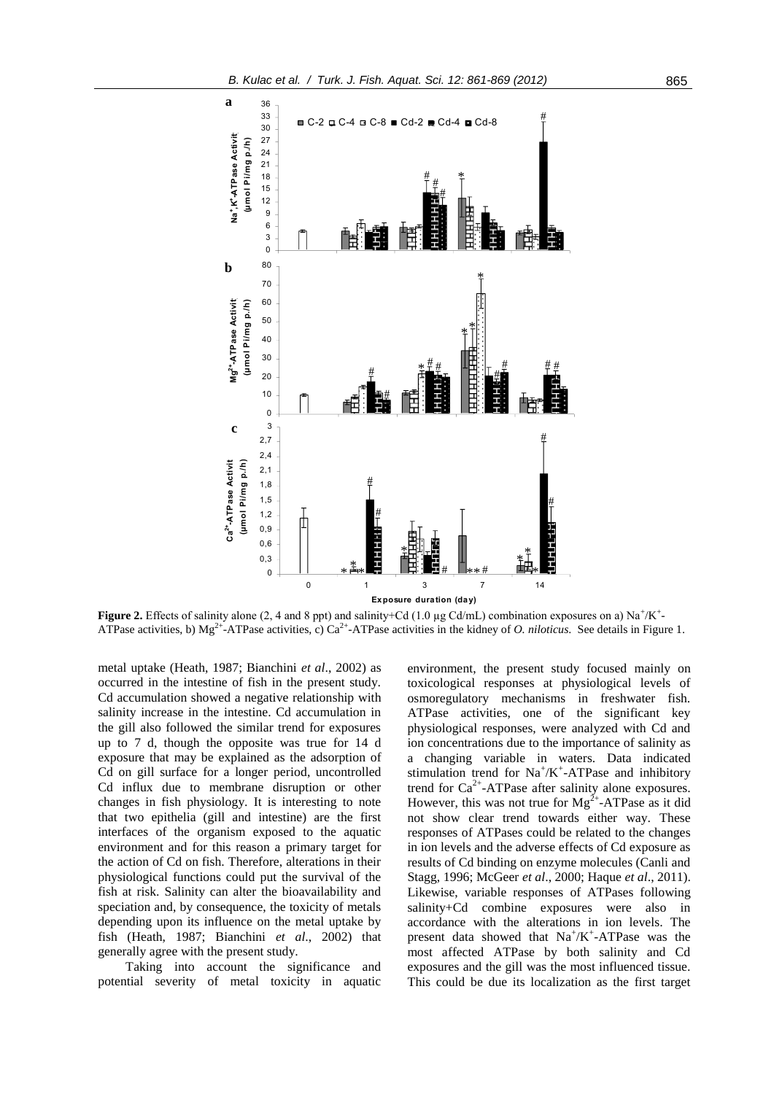

**Figure 2.** Effects of salinity alone (2, 4 and 8 ppt) and salinity+Cd (1.0  $\mu$ g Cd/mL) combination exposures on a) Na<sup>+</sup>/K<sup>+</sup>-ATPase activities, b)  $Mg^{2+}$ -ATPase activities, c)  $Ca^{2+}$ -ATPase activities in the kidney of *O. niloticus*. See details in Figure 1.

metal uptake (Heath, 1987; Bianchini *et al*., 2002) as occurred in the intestine of fish in the present study. Cd accumulation showed a negative relationship with salinity increase in the intestine. Cd accumulation in the gill also followed the similar trend for exposures up to 7 d, though the opposite was true for 14 d exposure that may be explained as the adsorption of Cd on gill surface for a longer period, uncontrolled Cd influx due to membrane disruption or other changes in fish physiology. It is interesting to note that two epithelia (gill and intestine) are the first interfaces of the organism exposed to the aquatic environment and for this reason a primary target for the action of Cd on fish. Therefore, alterations in their physiological functions could put the survival of the fish at risk. Salinity can alter the bioavailability and speciation and, by consequence, the toxicity of metals depending upon its influence on the metal uptake by fish (Heath, 1987; Bianchini *et al*., 2002) that generally agree with the present study.

Taking into account the significance and potential severity of metal toxicity in aquatic environment, the present study focused mainly on toxicological responses at physiological levels of osmoregulatory mechanisms in freshwater fish. ATPase activities, one of the significant key physiological responses, were analyzed with Cd and ion concentrations due to the importance of salinity as a changing variable in waters. Data indicated stimulation trend for  $Na^+/K^+$ -ATPase and inhibitory trend for  $Ca^{2+}$ -ATPase after salinity alone exposures. However, this was not true for  $Mg^{2+}$ -ATPase as it did not show clear trend towards either way. These responses of ATPases could be related to the changes in ion levels and the adverse effects of Cd exposure as results of Cd binding on enzyme molecules (Canli and Stagg, 1996; McGeer *et al*., 2000; Haque *et al*., 2011). Likewise, variable responses of ATPases following salinity+Cd combine exposures were also in accordance with the alterations in ion levels. The present data showed that Na<sup>+</sup>/K<sup>+</sup>-ATPase was the most affected ATPase by both salinity and Cd exposures and the gill was the most influenced tissue. This could be due its localization as the first target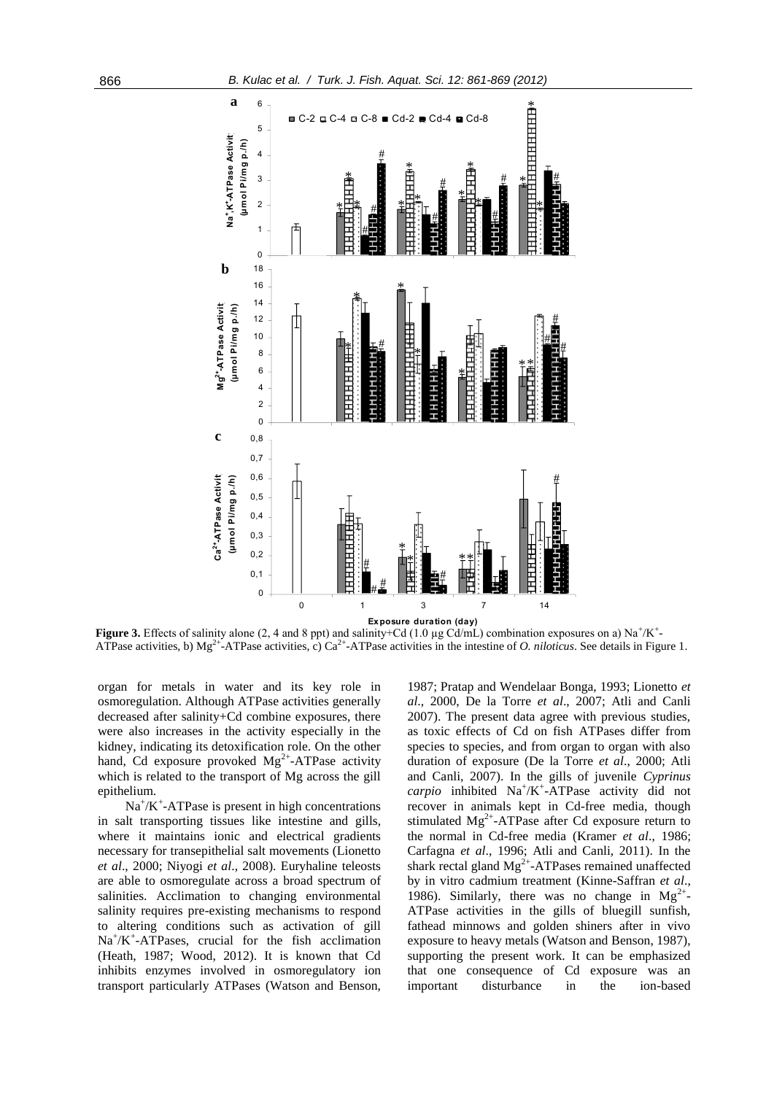

Figure 3. Effects of salinity alone (2, 4 and 8 ppt) and salinity+Cd (1.0 µg Cd/mL) combination exposures on a) Na<sup>+</sup>/K<sup>+</sup> ATPase activities, b)  $Mg^{2^+}$ -ATPase activities, c)  $Ca^{2^+}$ -ATPase activities in the intestine of *O. niloticus*. See details in Figure 1.

organ for metals in water and its key role in osmoregulation. Although ATPase activities generally decreased after salinity+Cd combine exposures, there were also increases in the activity especially in the kidney, indicating its detoxification role. On the other hand, Cd exposure provoked  $Mg^{2+}$ -ATPase activity which is related to the transport of Mg across the gill epithelium.

 $Na<sup>+</sup>/K<sup>+</sup>-ATPase$  is present in high concentrations in salt transporting tissues like intestine and gills, where it maintains ionic and electrical gradients necessary for transepithelial salt movements (Lionetto *et al*., 2000; Niyogi *et al*., 2008). Euryhaline teleosts are able to osmoregulate across a broad spectrum of salinities. Acclimation to changing environmental salinity requires pre-existing mechanisms to respond to altering conditions such as activation of gill Na<sup>+</sup>/K<sup>+</sup>-ATPases, crucial for the fish acclimation (Heath, 1987; Wood, 2012). It is known that Cd inhibits enzymes involved in osmoregulatory ion transport particularly ATPases (Watson and Benson,

1987; Pratap and Wendelaar Bonga, 1993; Lionetto *et al*., 2000, De la Torre *et al*., 2007; Atli and Canli 2007). The present data agree with previous studies, as toxic effects of Cd on fish ATPases differ from species to species, and from organ to organ with also duration of exposure (De la Torre *et al*., 2000; Atli and Canli, 2007). In the gills of juvenile *Cyprinus*  carpio inhibited Na<sup>+</sup>/K<sup>+</sup>-ATPase activity did not recover in animals kept in Cd-free media, though stimulated  $Mg^{2+}$ -ATPase after Cd exposure return to the normal in Cd-free media (Kramer *et al*., 1986; Carfagna *et al*., 1996; Atli and Canli, 2011). In the shark rectal gland  $Mg^{2+}$ -ATPases remained unaffected by in vitro cadmium treatment (Kinne-Saffran *et al*., 1986). Similarly, there was no change in  $Mg^{2+}$ . ATPase activities in the gills of bluegill sunfish, fathead minnows and golden shiners after in vivo exposure to heavy metals (Watson and Benson, 1987), supporting the present work. It can be emphasized that one consequence of Cd exposure was an important disturbance in the ion-based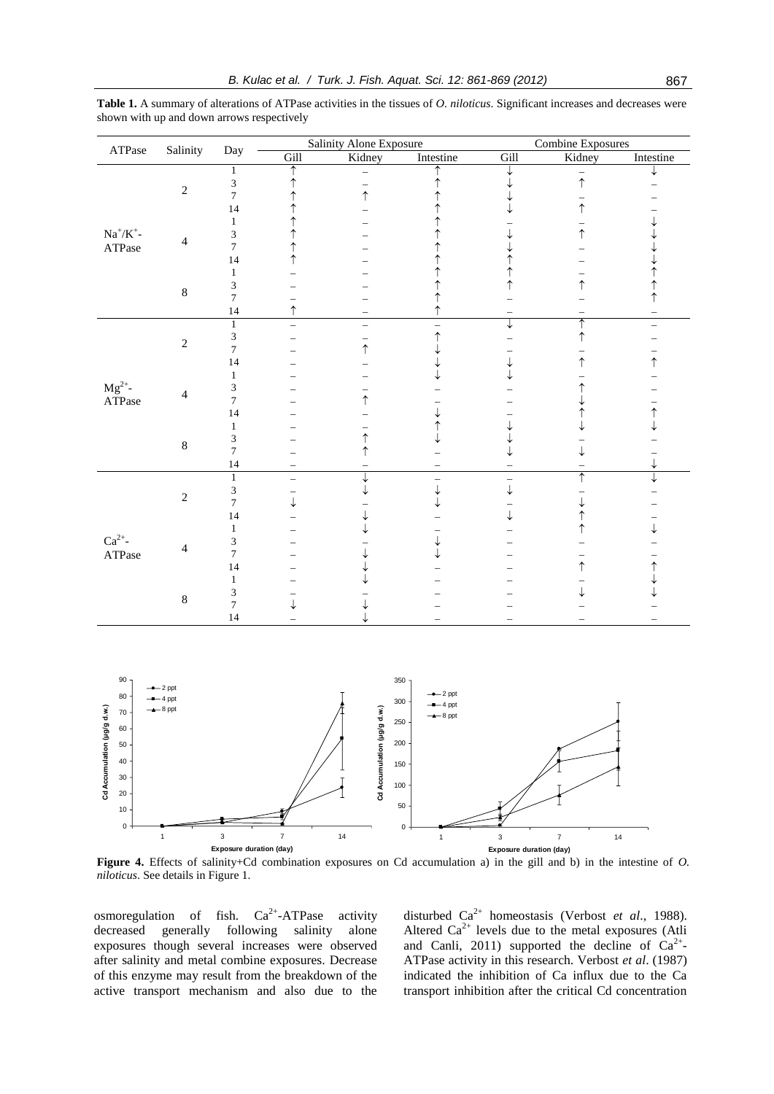| $\operatorname{ATPase}$                         | Salinity                 | Day                            |                   | Salinity Alone Exposure |                                        | Combine Exposures<br>Kidney |            |              |
|-------------------------------------------------|--------------------------|--------------------------------|-------------------|-------------------------|----------------------------------------|-----------------------------|------------|--------------|
|                                                 |                          |                                | Gill              | Kidney                  | Intestine                              | Gill                        |            | Intestine    |
| $\rm Na^+/K^+$ -<br>$\operatorname{ATPase}$     |                          | $\mathbf{1}$                   | ↑                 |                         |                                        |                             |            | ↓            |
|                                                 | $\sqrt{2}$               | $\ensuremath{\mathfrak{Z}}$    | ↑                 |                         |                                        |                             | $\uparrow$ |              |
|                                                 |                          | $\overline{7}$                 |                   | ↑                       |                                        |                             |            |              |
|                                                 |                          | 14                             |                   |                         |                                        |                             | ↑          |              |
|                                                 | $\overline{4}$           | $\mathbf{1}$                   |                   |                         |                                        |                             |            |              |
|                                                 |                          | 3                              |                   |                         |                                        |                             | ↑          |              |
|                                                 |                          | $\overline{7}$                 |                   |                         |                                        |                             |            |              |
|                                                 |                          | 14                             |                   |                         |                                        |                             |            |              |
|                                                 |                          | $\mathbf{1}$                   |                   |                         |                                        |                             |            |              |
|                                                 | $\,8\,$                  | 3                              |                   |                         |                                        |                             | ↑          |              |
|                                                 |                          | $\overline{7}$                 |                   |                         |                                        |                             |            |              |
|                                                 |                          | 14                             | ↑                 |                         | ↑                                      |                             |            |              |
|                                                 |                          | $\mathbf{1}$                   |                   |                         |                                        |                             |            |              |
| ${ {\rm Mg}^{2+}}$ ATPase                       | $\sqrt{2}$               |                                | $\equiv$          |                         | $\overline{\phantom{0}}$<br>$\uparrow$ |                             |            | ▃            |
|                                                 |                          | $\sqrt{3}$<br>$\boldsymbol{7}$ |                   | $\uparrow$              |                                        |                             |            |              |
|                                                 |                          |                                |                   |                         |                                        |                             |            | ↑            |
|                                                 |                          | 14                             |                   |                         |                                        |                             |            |              |
|                                                 | $\overline{\mathcal{A}}$ | $\mathbf{1}$                   |                   |                         |                                        |                             |            |              |
|                                                 |                          | 3                              |                   |                         |                                        |                             |            |              |
|                                                 |                          | $\overline{7}$                 |                   |                         |                                        |                             |            |              |
|                                                 |                          | 14                             |                   |                         |                                        |                             |            | ↑            |
|                                                 | $\,8\,$                  | 1                              |                   |                         |                                        |                             |            |              |
|                                                 |                          | 3                              |                   | ↑                       |                                        |                             |            |              |
|                                                 |                          | $\overline{7}$                 |                   |                         |                                        |                             | ↓          |              |
|                                                 |                          | 14                             |                   |                         |                                        |                             |            | $\downarrow$ |
| $\mathrm{Ca}^{2+}$ -<br>$\operatorname{ATPase}$ | $\overline{c}$           | $\mathbf{1}$                   |                   |                         | $\overline{\phantom{0}}$               | $\overline{a}$              | ↑          | I            |
|                                                 |                          | $\sqrt{3}$                     |                   |                         | $\downarrow$                           | J                           |            |              |
|                                                 |                          | $\overline{7}$                 |                   |                         |                                        |                             | ↓          |              |
|                                                 |                          | 14                             |                   |                         |                                        |                             |            |              |
|                                                 | $\overline{4}$<br>$\,8$  | $\mathbf{1}$                   |                   |                         |                                        |                             |            |              |
|                                                 |                          | 3                              |                   |                         |                                        |                             |            |              |
|                                                 |                          | $\overline{7}$                 |                   |                         |                                        |                             |            |              |
|                                                 |                          | 14                             |                   |                         |                                        |                             | ↑          | ↑            |
|                                                 |                          | $\mathbf{1}$                   |                   |                         |                                        |                             |            |              |
|                                                 |                          | 3                              |                   |                         |                                        |                             | ↓          |              |
|                                                 |                          | $\boldsymbol{7}$               |                   |                         |                                        |                             |            |              |
|                                                 |                          | 14                             | $\qquad \qquad -$ |                         |                                        |                             | $\equiv$   |              |
|                                                 |                          |                                |                   |                         |                                        |                             |            |              |
|                                                 |                          |                                |                   |                         |                                        |                             |            |              |
|                                                 |                          |                                |                   |                         |                                        |                             |            |              |
|                                                 |                          |                                |                   |                         |                                        |                             |            |              |
|                                                 |                          |                                |                   |                         |                                        |                             |            |              |

**Table 1.** A summary of alterations of ATPase activities in the tissues of *O. niloticus*. Significant increases and decreases were shown with up and down arrows respectively



**Figure 4.** Effects of salinity+Cd combination exposures on Cd accumulation a) in the gill and b) in the intestine of *O*. *niloticus*. See details in Figure 1.

osmoregulation of fish.  $Ca^{2+}$ -ATPase activity decreased generally following salinity alone exposures though several increases were observed after salinity and metal combine exposures. Decrease of this enzyme may result from the breakdown of the active transport mechanism and also due to the disturbed Ca2+ homeostasis (Verbost *et al*., 1988). Altered  $Ca^{2+}$  levels due to the metal exposures (Atli and Canli, 2011) supported the decline of  $Ca^{2+}$ -ATPase activity in this research. Verbost *et al*. (1987) indicated the inhibition of Ca influx due to the Ca transport inhibition after the critical Cd concentration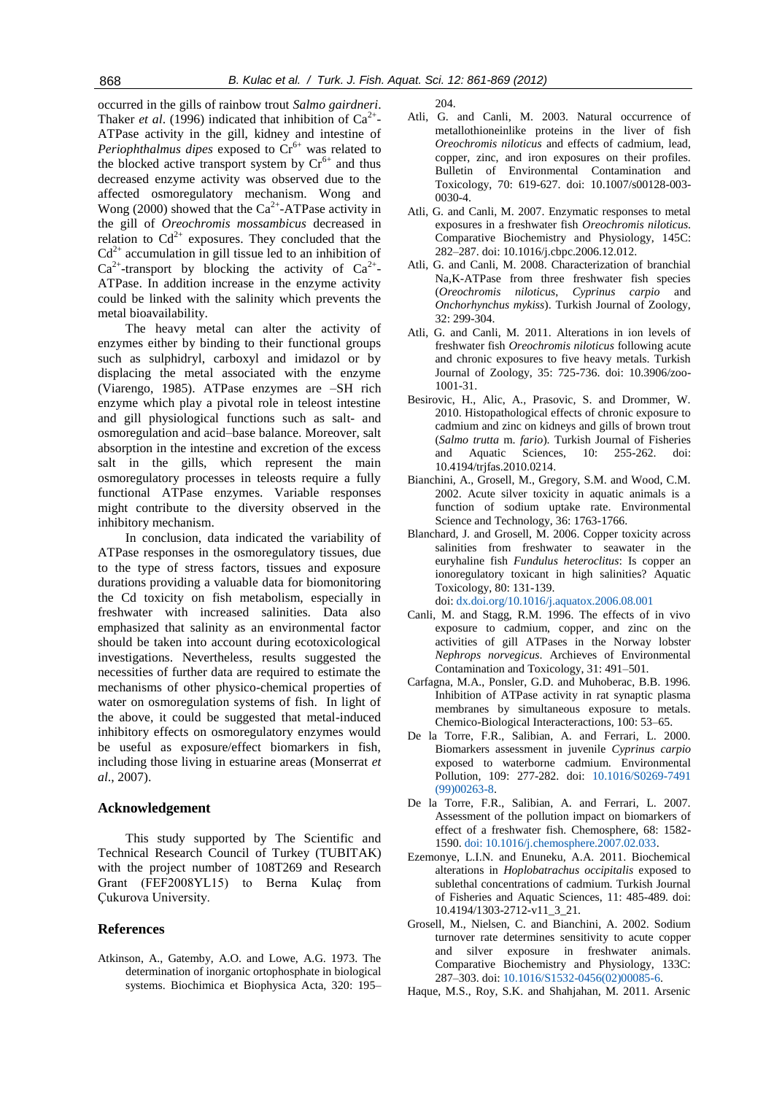occurred in the gills of rainbow trout *Salmo gairdneri*. Thaker *et al.* (1996) indicated that inhibition of  $Ca^{2+}$ -ATPase activity in the gill, kidney and intestine of *Periophthalmus dipes* exposed to  $Cr^{6+}$  was related to the blocked active transport system by  $Cr^{6+}$  and thus decreased enzyme activity was observed due to the affected osmoregulatory mechanism. Wong and Wong (2000) showed that the  $Ca^{2+}$ -ATPase activity in the gill of *Oreochromis mossambicus* decreased in relation to  $Cd^{2+}$  exposures. They concluded that the  $Cd^{2+}$  accumulation in gill tissue led to an inhibition of  $Ca^{2+}$ -transport by blocking the activity of  $Ca^{2+}$ -ATPase. In addition increase in the enzyme activity could be linked with the salinity which prevents the metal bioavailability.

The heavy metal can alter the activity of enzymes either by binding to their functional groups such as sulphidryl, carboxyl and imidazol or by displacing the metal associated with the enzyme (Viarengo, 1985). ATPase enzymes are –SH rich enzyme which play a pivotal role in teleost intestine and gill physiological functions such as salt- and osmoregulation and acid–base balance. Moreover, salt absorption in the intestine and excretion of the excess salt in the gills, which represent the main osmoregulatory processes in teleosts require a fully functional ATPase enzymes. Variable responses might contribute to the diversity observed in the inhibitory mechanism.

In conclusion, data indicated the variability of ATPase responses in the osmoregulatory tissues, due to the type of stress factors, tissues and exposure durations providing a valuable data for biomonitoring the Cd toxicity on fish metabolism, especially in freshwater with increased salinities. Data also emphasized that salinity as an environmental factor should be taken into account during ecotoxicological investigations. Nevertheless, results suggested the necessities of further data are required to estimate the mechanisms of other physico-chemical properties of water on osmoregulation systems of fish. In light of the above, it could be suggested that metal-induced inhibitory effects on osmoregulatory enzymes would be useful as exposure/effect biomarkers in fish, including those living in estuarine areas (Monserrat *et al*., 2007).

# **Acknowledgement**

This study supported by The Scientific and Technical Research Council of Turkey (TUBITAK) with the project number of 108T269 and Research Grant (FEF2008YL15) to Berna Kulaç from Çukurova University.

# **References**

Atkinson, A., Gatemby, A.O. and Lowe, A.G. 1973. The determination of inorganic ortophosphate in biological systems. Biochimica et Biophysica Acta, 320: 195– 204.

- Atli, G. and Canli, M. 2003. Natural occurrence of metallothioneinlike proteins in the liver of fish *Oreochromis niloticus* and effects of cadmium, lead, copper, zinc, and iron exposures on their profiles. Bulletin of Environmental Contamination and Toxicology, 70: 619-627. doi: 10.1007/s00128-003- 0030-4.
- Atli, G. and Canli, M. 2007. Enzymatic responses to metal exposures in a freshwater fish *Oreochromis niloticus*. Comparative Biochemistry and Physiology, 145C: 282–287. doi: [10.1016/j.cbpc.2006.12.012.](http://dx.doi.org/10.1016/j.cbpc.2006.12.012)
- Atli, G. and Canli, M. 2008. Characterization of branchial Na,K-ATPase from three freshwater fish species (*Oreochromis niloticus*, *Cyprinus carpio* and *Onchorhynchus mykiss*). Turkish Journal of Zoology, 32: 299-304.
- Atli, G. and Canli, M. 2011. Alterations in ion levels of freshwater fish *Oreochromis niloticus* following acute and chronic exposures to five heavy metals. Turkish Journal of Zoology, 35: 725-736. doi: 10.3906/zoo-1001-31.
- Besirovic, H., Alic, A., Prasovic, S. and Drommer, W. 2010. Histopathological effects of chronic exposure to cadmium and zinc on kidneys and gills of brown trout (*Salmo trutta* m. *fario*). Turkish Journal of Fisheries and Aquatic Sciences, 10: 255-262. doi: 10.4194/trjfas.2010.0214.
- Bianchini, A., Grosell, M., Gregory, S.M. and Wood, C.M. 2002. Acute silver toxicity in aquatic animals is a function of sodium uptake rate. Environmental Science and Technology, 36: 1763-1766.
- Blanchard, J. and Grosell, M. 2006. Copper toxicity across salinities from freshwater to seawater in the euryhaline fish *Fundulus heteroclitus*: Is copper an ionoregulatory toxicant in high salinities? Aquatic Toxicology, 80: 131-139. doi: [dx.doi.org/10.1016/j.aquatox.2006.08.001](http://dx.doi.org/10.1016/j.aquatox.2006.08.001)
- Canli, M. and Stagg, R.M. 1996. The effects of in vivo exposure to cadmium, copper, and zinc on the activities of gill ATPases in the Norway lobster *Nephrops norvegicus*. Archieves of Environmental Contamination and Toxicology, 31: 491–501.
- Carfagna, M.A., Ponsler, G.D. and Muhoberac, B.B. 1996. Inhibition of ATPase activity in rat synaptic plasma membranes by simultaneous exposure to metals. Chemico-Biological Interacteractions, 100: 53–65.
- De la Torre, F.R., Salibian, A. and Ferrari, L. 2000. Biomarkers assessment in juvenile *Cyprinus carpio* exposed to waterborne cadmium. Environmental Pollution, 109: 277-282. doi: [10.1016/S0269-7491](http://dx.doi.org/10.1016/S0269-7491(99)00263-8) [\(99\)00263-8.](http://dx.doi.org/10.1016/S0269-7491(99)00263-8)
- De la Torre, F.R., Salibian, A. and Ferrari, L. 2007. Assessment of the pollution impact on biomarkers of effect of a freshwater fish. Chemosphere, 68: 1582- 1590[. doi: 10.1016/j.chemosphere.2007.02.033.](http://dx.doi.org/10.1016/j.chemosphere.2007.02.033)
- Ezemonye, L.I.N. and Enuneku, A.A. 2011. Biochemical alterations in *Hoplobatrachus occipitalis* exposed to sublethal concentrations of cadmium. Turkish Journal of Fisheries and Aquatic Sciences, 11: 485-489. doi: 10.4194/1303-2712-v11\_3\_21.
- Grosell, M., Nielsen, C. and Bianchini, A. 2002. Sodium turnover rate determines sensitivity to acute copper and silver exposure in freshwater animals. Comparative Biochemistry and Physiology, 133C: 287–303. doi: [10.1016/S1532-0456\(02\)00085-6.](http://dx.doi.org/10.1016/S1532-0456(02)00085-6)
- Haque, M.S., Roy, S.K. and Shahjahan, M. 2011. Arsenic